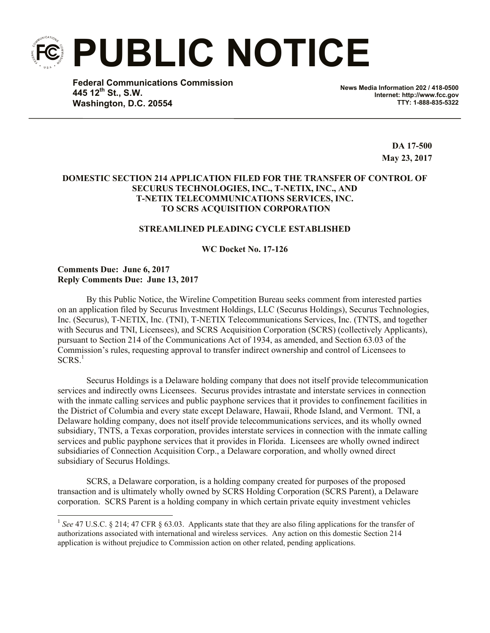**PUBLIC NOTICE**

**Federal Communications Commission 445 12th St., S.W. Washington, D.C. 20554**

**News Media Information 202 / 418-0500 Internet: http://www.fcc.gov TTY: 1-888-835-5322**

> **DA 17-500 May 23, 2017**

# **DOMESTIC SECTION 214 APPLICATION FILED FOR THE TRANSFER OF CONTROL OF SECURUS TECHNOLOGIES, INC., T-NETIX, INC., AND T-NETIX TELECOMMUNICATIONS SERVICES, INC. TO SCRS ACQUISITION CORPORATION**

# **STREAMLINED PLEADING CYCLE ESTABLISHED**

**WC Docket No. 17-126**

### **Comments Due: June 6, 2017 Reply Comments Due: June 13, 2017**

l

By this Public Notice, the Wireline Competition Bureau seeks comment from interested parties on an application filed by Securus Investment Holdings, LLC (Securus Holdings), Securus Technologies, Inc. (Securus), T-NETIX, Inc. (TNI), T-NETIX Telecommunications Services, Inc. (TNTS, and together with Securus and TNI, Licensees), and SCRS Acquisition Corporation (SCRS) (collectively Applicants), pursuant to Section 214 of the Communications Act of 1934, as amended, and Section 63.03 of the Commission's rules, requesting approval to transfer indirect ownership and control of Licensees to  $SCRS<sup>1</sup>$ 

Securus Holdings is a Delaware holding company that does not itself provide telecommunication services and indirectly owns Licensees. Securus provides intrastate and interstate services in connection with the inmate calling services and public payphone services that it provides to confinement facilities in the District of Columbia and every state except Delaware, Hawaii, Rhode Island, and Vermont. TNI, a Delaware holding company, does not itself provide telecommunications services, and its wholly owned subsidiary, TNTS, a Texas corporation, provides interstate services in connection with the inmate calling services and public payphone services that it provides in Florida. Licensees are wholly owned indirect subsidiaries of Connection Acquisition Corp., a Delaware corporation, and wholly owned direct subsidiary of Securus Holdings.

SCRS, a Delaware corporation, is a holding company created for purposes of the proposed transaction and is ultimately wholly owned by SCRS Holding Corporation (SCRS Parent), a Delaware corporation. SCRS Parent is a holding company in which certain private equity investment vehicles

<sup>&</sup>lt;sup>1</sup> See 47 U.S.C. § 214; 47 CFR § 63.03. Applicants state that they are also filing applications for the transfer of authorizations associated with international and wireless services. Any action on this domestic Section 214 application is without prejudice to Commission action on other related, pending applications.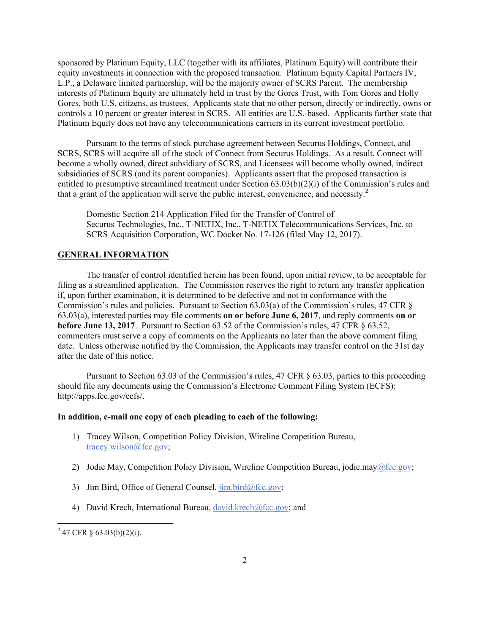sponsored by Platinum Equity, LLC (together with its affiliates, Platinum Equity) will contribute their equity investments in connection with the proposed transaction. Platinum Equity Capital Partners IV, L.P., a Delaware limited partnership, will be the majority owner of SCRS Parent. The membership interests of Platinum Equity are ultimately held in trust by the Gores Trust, with Tom Gores and Holly Gores, both U.S. citizens, as trustees. Applicants state that no other person, directly or indirectly, owns or controls a 10 percent or greater interest in SCRS. All entities are U.S.-based. Applicants further state that Platinum Equity does not have any telecommunications carriers in its current investment portfolio.

Pursuant to the terms of stock purchase agreement between Securus Holdings, Connect, and SCRS, SCRS will acquire all of the stock of Connect from Securus Holdings. As a result, Connect will become a wholly owned, direct subsidiary of SCRS, and Licensees will become wholly owned, indirect subsidiaries of SCRS (and its parent companies). Applicants assert that the proposed transaction is entitled to presumptive streamlined treatment under Section 63.03(b)(2)(i) of the Commission's rules and that a grant of the application will serve the public interest, convenience, and necessity. 2

Domestic Section 214 Application Filed for the Transfer of Control of Securus Technologies, Inc., T-NETIX, Inc., T-NETIX Telecommunications Services, Inc. to SCRS Acquisition Corporation, WC Docket No. 17-126 (filed May 12, 2017).

## **GENERAL INFORMATION**

The transfer of control identified herein has been found, upon initial review, to be acceptable for filing as a streamlined application. The Commission reserves the right to return any transfer application if, upon further examination, it is determined to be defective and not in conformance with the Commission's rules and policies. Pursuant to Section 63.03(a) of the Commission's rules, 47 CFR § 63.03(a), interested parties may file comments **on or before June 6, 2017**, and reply comments **on or before June 13, 2017**. Pursuant to Section 63.52 of the Commission's rules, 47 CFR § 63.52, commenters must serve a copy of comments on the Applicants no later than the above comment filing date. Unless otherwise notified by the Commission, the Applicants may transfer control on the 31st day after the date of this notice.

Pursuant to Section 63.03 of the Commission's rules, 47 CFR  $\S$  63.03, parties to this proceeding should file any documents using the Commission's Electronic Comment Filing System (ECFS): http://apps.fcc.gov/ecfs/.

#### **In addition, e-mail one copy of each pleading to each of the following:**

- 1) Tracey Wilson, Competition Policy Division, Wireline Competition Bureau, tracey.wilson@fcc.gov;
- 2) Jodie May, Competition Policy Division, Wireline Competition Bureau, jodie.may@fcc.gov;
- 3) Jim Bird, Office of General Counsel,  $\lim_{h \to 0} \frac{\text{bird}}{\text{det} \text{sec}}$ .gov;
- 4) David Krech, International Bureau, david.krech@fcc.gov; and

l

 $2^{2}$  47 CFR § 63.03(b)(2)(i).